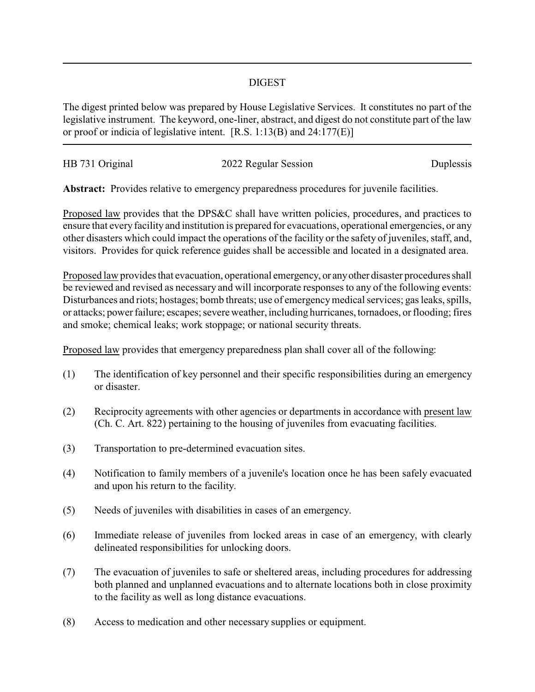## DIGEST

The digest printed below was prepared by House Legislative Services. It constitutes no part of the legislative instrument. The keyword, one-liner, abstract, and digest do not constitute part of the law or proof or indicia of legislative intent. [R.S. 1:13(B) and 24:177(E)]

| HB 731 Original | 2022 Regular Session | Duplessis |
|-----------------|----------------------|-----------|
|                 |                      |           |
|                 |                      |           |

**Abstract:** Provides relative to emergency preparedness procedures for juvenile facilities.

Proposed law provides that the DPS&C shall have written policies, procedures, and practices to ensure that every facility and institution is prepared for evacuations, operational emergencies, or any other disasters which could impact the operations of the facility or the safety of juveniles, staff, and, visitors. Provides for quick reference guides shall be accessible and located in a designated area.

Proposed law provides that evacuation, operational emergency, or anyother disaster procedures shall be reviewed and revised as necessary and will incorporate responses to any of the following events: Disturbances and riots; hostages; bomb threats; use of emergency medical services; gas leaks, spills, or attacks; power failure; escapes; severe weather, including hurricanes, tornadoes, or flooding; fires and smoke; chemical leaks; work stoppage; or national security threats.

Proposed law provides that emergency preparedness plan shall cover all of the following:

- (1) The identification of key personnel and their specific responsibilities during an emergency or disaster.
- (2) Reciprocity agreements with other agencies or departments in accordance with present law (Ch. C. Art. 822) pertaining to the housing of juveniles from evacuating facilities.
- (3) Transportation to pre-determined evacuation sites.
- (4) Notification to family members of a juvenile's location once he has been safely evacuated and upon his return to the facility.
- (5) Needs of juveniles with disabilities in cases of an emergency.
- (6) Immediate release of juveniles from locked areas in case of an emergency, with clearly delineated responsibilities for unlocking doors.
- (7) The evacuation of juveniles to safe or sheltered areas, including procedures for addressing both planned and unplanned evacuations and to alternate locations both in close proximity to the facility as well as long distance evacuations.
- (8) Access to medication and other necessary supplies or equipment.